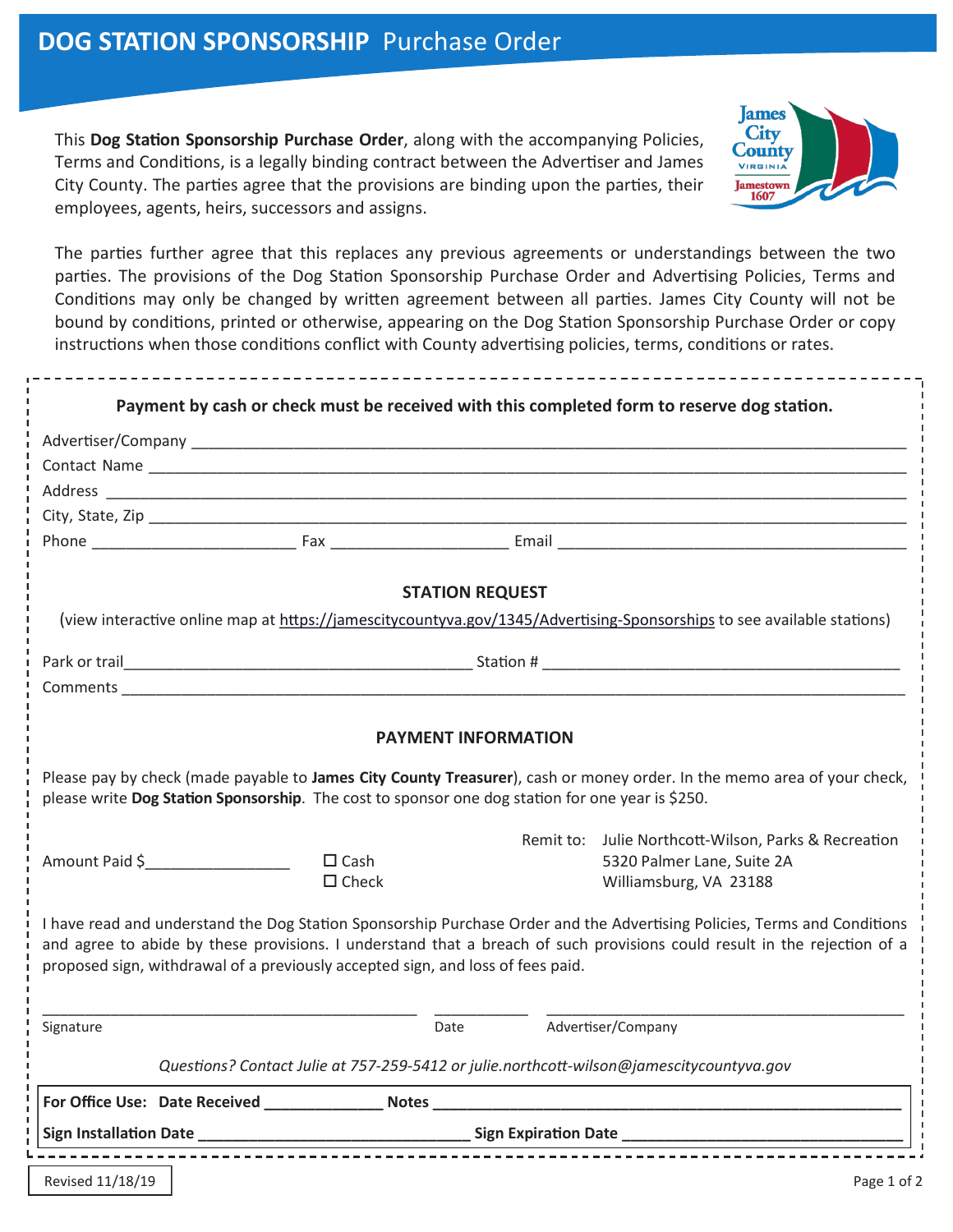This **Dog Station Sponsorship Purchase Order**, along with the accompanying Policies, Terms and Conditions, is a legally binding contract between the Advertiser and James City County. The parties agree that the provisions are binding upon the parties, their employees, agents, heirs, successors and assigns.



The parties further agree that this replaces any previous agreements or understandings between the two parties. The provisions of the Dog Station Sponsorship Purchase Order and Advertising Policies, Terms and Conditions may only be changed by written agreement between all parties. James City County will not be bound by conditions, printed or otherwise, appearing on the Dog Station Sponsorship Purchase Order or copy instructions when those conditions conflict with County advertising policies, terms, conditions or rates.

| Payment by cash or check must be received with this completed form to reserve dog station.                                                                                                                                                                                                                                              |                |                                                                                                                                                                                                |  |                                                                                                              |
|-----------------------------------------------------------------------------------------------------------------------------------------------------------------------------------------------------------------------------------------------------------------------------------------------------------------------------------------|----------------|------------------------------------------------------------------------------------------------------------------------------------------------------------------------------------------------|--|--------------------------------------------------------------------------------------------------------------|
|                                                                                                                                                                                                                                                                                                                                         |                |                                                                                                                                                                                                |  |                                                                                                              |
|                                                                                                                                                                                                                                                                                                                                         |                |                                                                                                                                                                                                |  |                                                                                                              |
|                                                                                                                                                                                                                                                                                                                                         |                |                                                                                                                                                                                                |  |                                                                                                              |
|                                                                                                                                                                                                                                                                                                                                         |                |                                                                                                                                                                                                |  |                                                                                                              |
|                                                                                                                                                                                                                                                                                                                                         |                |                                                                                                                                                                                                |  |                                                                                                              |
| <b>STATION REQUEST</b>                                                                                                                                                                                                                                                                                                                  |                |                                                                                                                                                                                                |  |                                                                                                              |
| (view interactive online map at https://jamescitycountyva.gov/1345/Advertising-Sponsorships to see available stations)                                                                                                                                                                                                                  |                |                                                                                                                                                                                                |  |                                                                                                              |
|                                                                                                                                                                                                                                                                                                                                         |                |                                                                                                                                                                                                |  |                                                                                                              |
|                                                                                                                                                                                                                                                                                                                                         |                | Comments <b>Comments Comments Comments Comments Comments Comments Comments Comments Comments Comments Comments Comments Comments Comments Comments Comments Comments Comments Comments Com</b> |  |                                                                                                              |
| <b>PAYMENT INFORMATION</b><br>Please pay by check (made payable to James City County Treasurer), cash or money order. In the memo area of your check,<br>please write Dog Station Sponsorship. The cost to sponsor one dog station for one year is \$250.                                                                               |                |                                                                                                                                                                                                |  |                                                                                                              |
|                                                                                                                                                                                                                                                                                                                                         | Amount Paid \$ | $\square$ Cash<br>$\Box$ Check                                                                                                                                                                 |  | Remit to: Julie Northcott-Wilson, Parks & Recreation<br>5320 Palmer Lane, Suite 2A<br>Williamsburg, VA 23188 |
| I have read and understand the Dog Station Sponsorship Purchase Order and the Advertising Policies, Terms and Conditions<br>and agree to abide by these provisions. I understand that a breach of such provisions could result in the rejection of a<br>proposed sign, withdrawal of a previously accepted sign, and loss of fees paid. |                |                                                                                                                                                                                                |  |                                                                                                              |
| Signature                                                                                                                                                                                                                                                                                                                               |                | Date                                                                                                                                                                                           |  | Advertiser/Company                                                                                           |
| Questions? Contact Julie at 757-259-5412 or julie.northcott-wilson@jamescitycountyva.gov                                                                                                                                                                                                                                                |                |                                                                                                                                                                                                |  |                                                                                                              |
| For Office Use: Date Received Notes Notes Notes Notes All and Security Assembly December 2014                                                                                                                                                                                                                                           |                |                                                                                                                                                                                                |  |                                                                                                              |
|                                                                                                                                                                                                                                                                                                                                         |                |                                                                                                                                                                                                |  |                                                                                                              |
| Revised 11/18/19                                                                                                                                                                                                                                                                                                                        |                |                                                                                                                                                                                                |  | Page 1 of 2                                                                                                  |